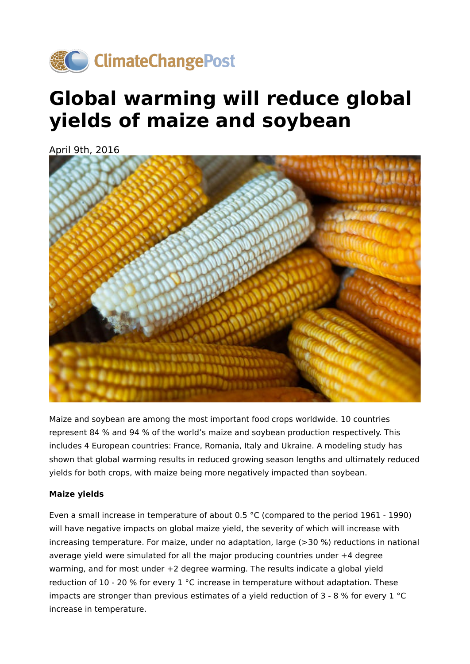

## **Global warming will reduce global yields of maize and soybean**

April 9th, 2016



Maize and soybean are among the most important food crops worldwide. 10 countries represent 84 % and 94 % of the world's maize and soybean production respectively. This includes 4 European countries: France, Romania, Italy and Ukraine. A modeling study has shown that global warming results in reduced growing season lengths and ultimately reduced yields for both crops, with maize being more negatively impacted than soybean.

## **Maize yields**

Even a small increase in temperature of about 0.5 °C (compared to the period 1961 - 1990) will have negative impacts on global maize yield, the severity of which will increase with increasing temperature. For maize, under no adaptation, large (>30 %) reductions in national average yield were simulated for all the major producing countries under +4 degree warming, and for most under +2 degree warming. The results indicate a global yield reduction of 10 - 20 % for every 1 °C increase in temperature without adaptation. These impacts are stronger than previous estimates of a yield reduction of 3 - 8 % for every 1 °C increase in temperature.